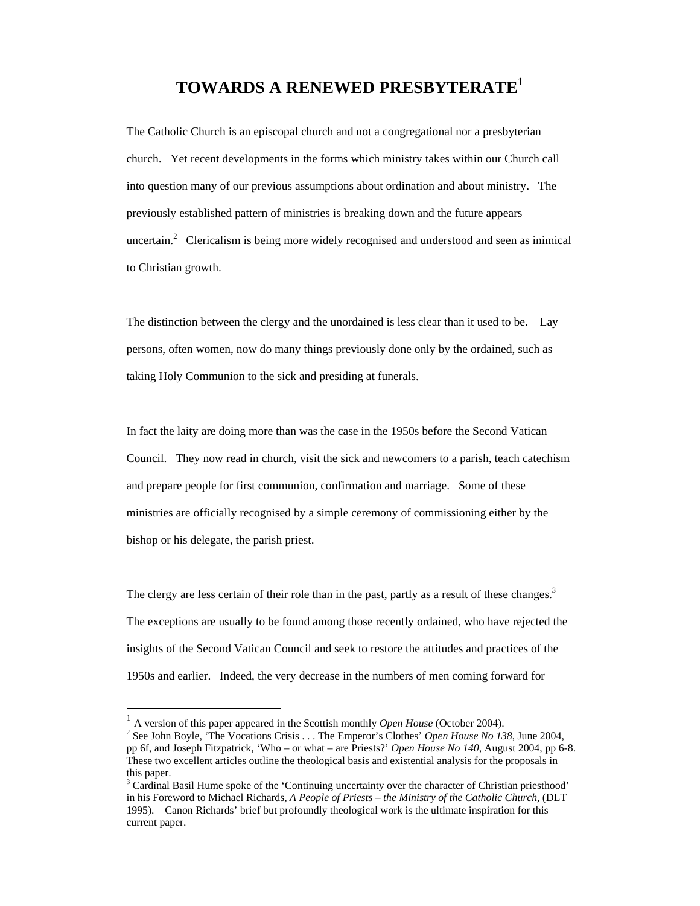## **TOWARDS A RENEWED PRESBYTERATE<sup>1</sup>**

The Catholic Church is an episcopal church and not a congregational nor a presbyterian church. Yet recent developments in the forms which ministry takes within our Church call into question many of our previous assumptions about ordination and about ministry. The previously established pattern of ministries is breaking down and the future appears uncertain. $\alpha$  Clericalism is being more widely recognised and understood and seen as inimical to Christian growth.

The distinction between the clergy and the unordained is less clear than it used to be. Lay persons, often women, now do many things previously done only by the ordained, such as taking Holy Communion to the sick and presiding at funerals.

In fact the laity are doing more than was the case in the 1950s before the Second Vatican Council. They now read in church, visit the sick and newcomers to a parish, teach catechism and prepare people for first communion, confirmation and marriage. Some of these ministries are officially recognised by a simple ceremony of commissioning either by the bishop or his delegate, the parish priest.

The clergy are less certain of their role than in the past, partly as a result of these changes.<sup>3</sup> The exceptions are usually to be found among those recently ordained, who have rejected the insights of the Second Vatican Council and seek to restore the attitudes and practices of the 1950s and earlier. Indeed, the very decrease in the numbers of men coming forward for

 $\overline{a}$ 

<sup>1</sup> A version of this paper appeared in the Scottish monthly *Open House* (October 2004).

<sup>&</sup>lt;sup>2</sup> See John Boyle, 'The Vocations Crisis . . . The Emperor's Clothes' *Open House No 138*, June 2004, pp 6f, and Joseph Fitzpatrick, 'Who – or what – are Priests?' *Open House No 140*, August 2004, pp 6-8. These two excellent articles outline the theological basis and existential analysis for the proposals in this paper.

<sup>&</sup>lt;sup>3</sup> Cardinal Basil Hume spoke of the 'Continuing uncertainty over the character of Christian priesthood' in his Foreword to Michael Richards, *A People of Priests – the Ministry of the Catholic Church*, (DLT 1995). Canon Richards' brief but profoundly theological work is the ultimate inspiration for this current paper.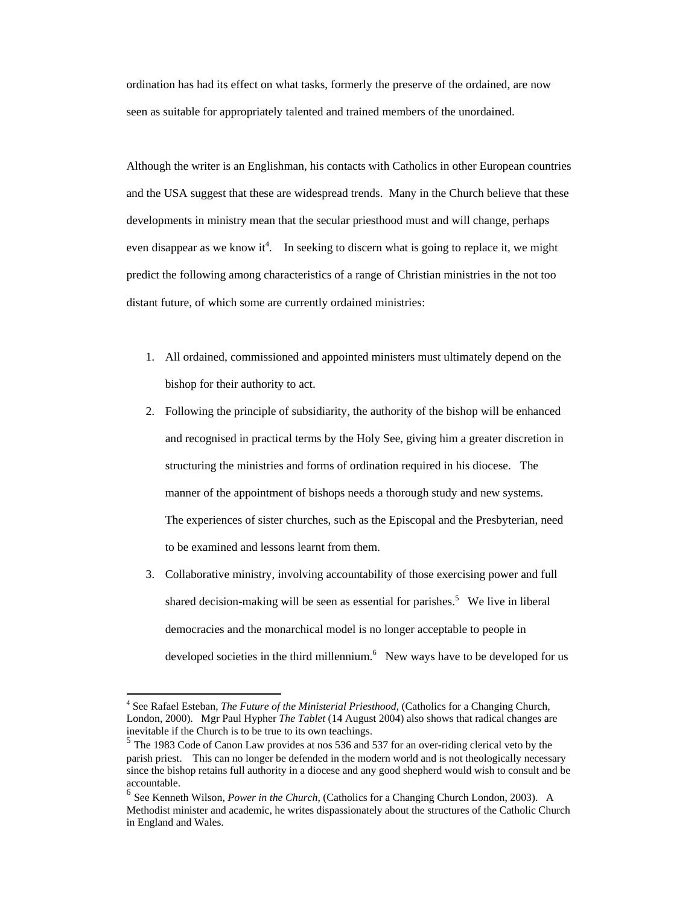ordination has had its effect on what tasks, formerly the preserve of the ordained, are now seen as suitable for appropriately talented and trained members of the unordained.

Although the writer is an Englishman, his contacts with Catholics in other European countries and the USA suggest that these are widespread trends. Many in the Church believe that these developments in ministry mean that the secular priesthood must and will change, perhaps even disappear as we know it<sup>4</sup>. In seeking to discern what is going to replace it, we might predict the following among characteristics of a range of Christian ministries in the not too distant future, of which some are currently ordained ministries:

- 1. All ordained, commissioned and appointed ministers must ultimately depend on the bishop for their authority to act.
- 2. Following the principle of subsidiarity, the authority of the bishop will be enhanced and recognised in practical terms by the Holy See, giving him a greater discretion in structuring the ministries and forms of ordination required in his diocese. The manner of the appointment of bishops needs a thorough study and new systems. The experiences of sister churches, such as the Episcopal and the Presbyterian, need to be examined and lessons learnt from them.
- 3. Collaborative ministry, involving accountability of those exercising power and full shared decision-making will be seen as essential for parishes.<sup>5</sup> We live in liberal democracies and the monarchical model is no longer acceptable to people in developed societies in the third millennium. $<sup>6</sup>$  New ways have to be developed for us</sup>

l

<sup>&</sup>lt;sup>4</sup> See Rafael Esteban, *The Future of the Ministerial Priesthood*, (Catholics for a Changing Church, London, 2000). Mgr Paul Hypher *The Tablet* (14 August 2004) also shows that radical changes are inevitable if the Church is to be true to its own teachings.

 $<sup>5</sup>$  The 1983 Code of Canon Law provides at nos 536 and 537 for an over-riding clerical veto by the</sup> parish priest. This can no longer be defended in the modern world and is not theologically necessary since the bishop retains full authority in a diocese and any good shepherd would wish to consult and be accountable.

<sup>6</sup> See Kenneth Wilson, *Power in the Church*, (Catholics for a Changing Church London, 2003). A Methodist minister and academic, he writes dispassionately about the structures of the Catholic Church in England and Wales.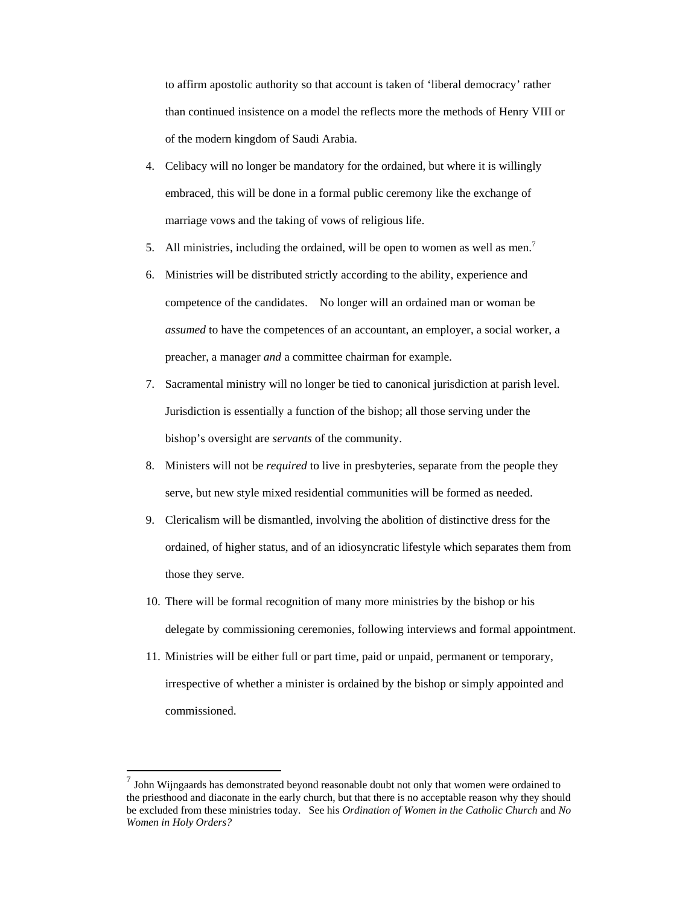to affirm apostolic authority so that account is taken of 'liberal democracy' rather than continued insistence on a model the reflects more the methods of Henry VIII or of the modern kingdom of Saudi Arabia.

- 4. Celibacy will no longer be mandatory for the ordained, but where it is willingly embraced, this will be done in a formal public ceremony like the exchange of marriage vows and the taking of vows of religious life.
- 5. All ministries, including the ordained, will be open to women as well as men.<sup>7</sup>
- 6. Ministries will be distributed strictly according to the ability, experience and competence of the candidates. No longer will an ordained man or woman be *assumed* to have the competences of an accountant, an employer, a social worker, a preacher, a manager *and* a committee chairman for example.
- 7. Sacramental ministry will no longer be tied to canonical jurisdiction at parish level. Jurisdiction is essentially a function of the bishop; all those serving under the bishop's oversight are *servants* of the community.
- 8. Ministers will not be *required* to live in presbyteries, separate from the people they serve, but new style mixed residential communities will be formed as needed.
- 9. Clericalism will be dismantled, involving the abolition of distinctive dress for the ordained, of higher status, and of an idiosyncratic lifestyle which separates them from those they serve.
- 10. There will be formal recognition of many more ministries by the bishop or his delegate by commissioning ceremonies, following interviews and formal appointment.
- 11. Ministries will be either full or part time, paid or unpaid, permanent or temporary, irrespective of whether a minister is ordained by the bishop or simply appointed and commissioned.

l

<sup>7</sup> John Wijngaards has demonstrated beyond reasonable doubt not only that women were ordained to the priesthood and diaconate in the early church, but that there is no acceptable reason why they should be excluded from these ministries today. See his *Ordination of Women in the Catholic Church* and *No Women in Holy Orders?*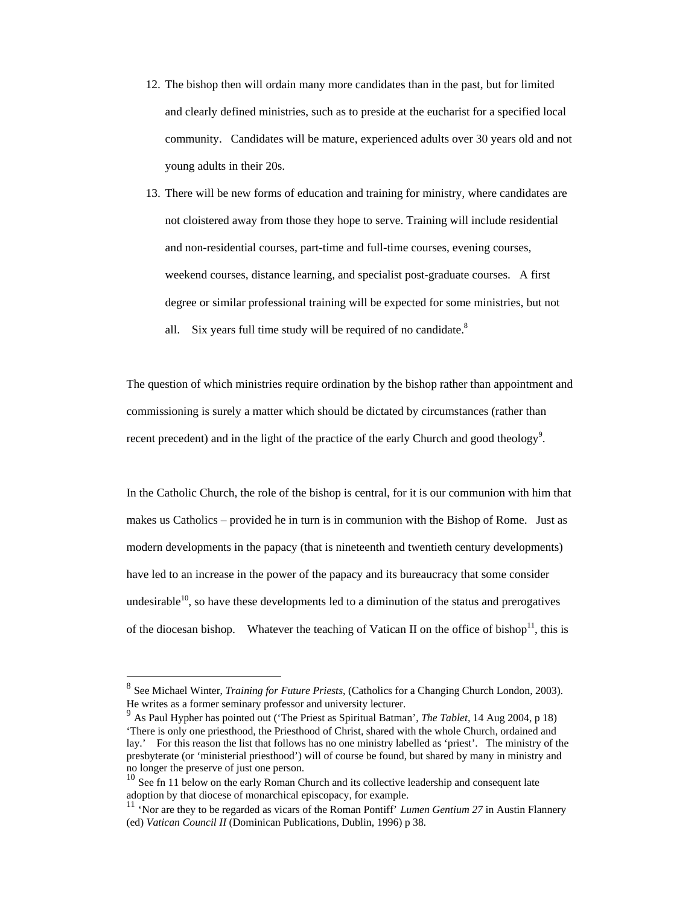- 12. The bishop then will ordain many more candidates than in the past, but for limited and clearly defined ministries, such as to preside at the eucharist for a specified local community. Candidates will be mature, experienced adults over 30 years old and not young adults in their 20s.
- 13. There will be new forms of education and training for ministry, where candidates are not cloistered away from those they hope to serve. Training will include residential and non-residential courses, part-time and full-time courses, evening courses, weekend courses, distance learning, and specialist post-graduate courses. A first degree or similar professional training will be expected for some ministries, but not all. Six years full time study will be required of no candidate. $8$

The question of which ministries require ordination by the bishop rather than appointment and commissioning is surely a matter which should be dictated by circumstances (rather than recent precedent) and in the light of the practice of the early Church and good theology<sup>9</sup>.

In the Catholic Church, the role of the bishop is central, for it is our communion with him that makes us Catholics – provided he in turn is in communion with the Bishop of Rome. Just as modern developments in the papacy (that is nineteenth and twentieth century developments) have led to an increase in the power of the papacy and its bureaucracy that some consider undesirable $^{10}$ , so have these developments led to a diminution of the status and prerogatives of the diocesan bishop. Whatever the teaching of Vatican II on the office of bishop<sup>11</sup>, this is

 $\overline{a}$ 

<sup>8</sup> See Michael Winter, *Training for Future Priests*, (Catholics for a Changing Church London, 2003). He writes as a former seminary professor and university lecturer.

<sup>9</sup> As Paul Hypher has pointed out ('The Priest as Spiritual Batman', *The Tablet,* 14 Aug 2004, p 18) 'There is only one priesthood, the Priesthood of Christ, shared with the whole Church, ordained and lay.' For this reason the list that follows has no one ministry labelled as 'priest'. The ministry of the presbyterate (or 'ministerial priesthood') will of course be found, but shared by many in ministry and no longer the preserve of just one person.

<sup>&</sup>lt;sup>10</sup> See fn 11 below on the early Roman Church and its collective leadership and consequent late adoption by that diocese of monarchical episcopacy, for example.

<sup>11</sup> 'Nor are they to be regarded as vicars of the Roman Pontiff' *Lumen Gentium 27* in Austin Flannery (ed) *Vatican Council II* (Dominican Publications, Dublin, 1996) p 38*.*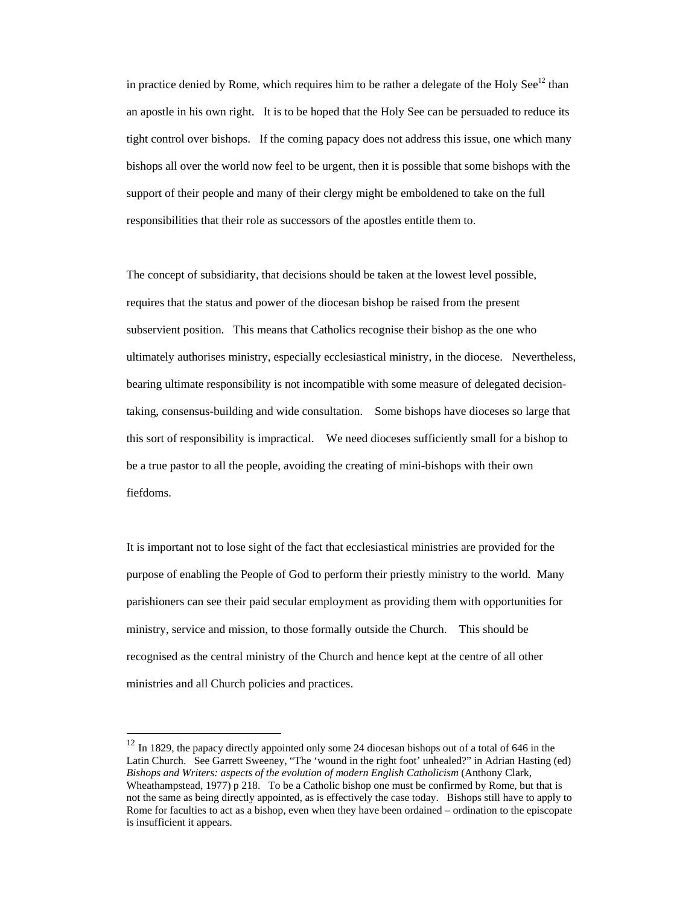in practice denied by Rome, which requires him to be rather a delegate of the Holy See<sup>12</sup> than an apostle in his own right. It is to be hoped that the Holy See can be persuaded to reduce its tight control over bishops. If the coming papacy does not address this issue, one which many bishops all over the world now feel to be urgent, then it is possible that some bishops with the support of their people and many of their clergy might be emboldened to take on the full responsibilities that their role as successors of the apostles entitle them to.

The concept of subsidiarity, that decisions should be taken at the lowest level possible, requires that the status and power of the diocesan bishop be raised from the present subservient position. This means that Catholics recognise their bishop as the one who ultimately authorises ministry, especially ecclesiastical ministry, in the diocese. Nevertheless, bearing ultimate responsibility is not incompatible with some measure of delegated decisiontaking, consensus-building and wide consultation. Some bishops have dioceses so large that this sort of responsibility is impractical. We need dioceses sufficiently small for a bishop to be a true pastor to all the people, avoiding the creating of mini-bishops with their own fiefdoms.

It is important not to lose sight of the fact that ecclesiastical ministries are provided for the purpose of enabling the People of God to perform their priestly ministry to the world. Many parishioners can see their paid secular employment as providing them with opportunities for ministry, service and mission, to those formally outside the Church. This should be recognised as the central ministry of the Church and hence kept at the centre of all other ministries and all Church policies and practices.

l

 $12$  In 1829, the papacy directly appointed only some 24 diocesan bishops out of a total of 646 in the Latin Church. See Garrett Sweeney, "The 'wound in the right foot' unhealed?" in Adrian Hasting (ed) *Bishops and Writers: aspects of the evolution of modern English Catholicism* (Anthony Clark, Wheathampstead, 1977) p 218. To be a Catholic bishop one must be confirmed by Rome, but that is not the same as being directly appointed, as is effectively the case today. Bishops still have to apply to Rome for faculties to act as a bishop, even when they have been ordained – ordination to the episcopate is insufficient it appears.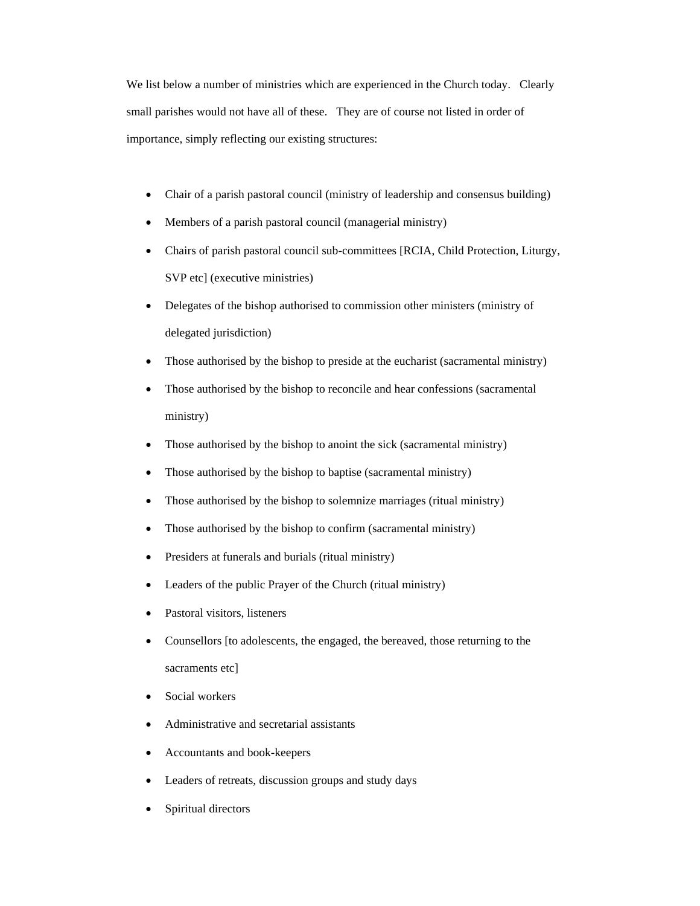We list below a number of ministries which are experienced in the Church today. Clearly small parishes would not have all of these. They are of course not listed in order of importance, simply reflecting our existing structures:

- Chair of a parish pastoral council (ministry of leadership and consensus building)
- Members of a parish pastoral council (managerial ministry)
- Chairs of parish pastoral council sub-committees [RCIA, Child Protection, Liturgy, SVP etc] (executive ministries)
- Delegates of the bishop authorised to commission other ministers (ministry of delegated jurisdiction)
- Those authorised by the bishop to preside at the eucharist (sacramental ministry)
- Those authorised by the bishop to reconcile and hear confessions (sacramental ministry)
- Those authorised by the bishop to anoint the sick (sacramental ministry)
- Those authorised by the bishop to baptise (sacramental ministry)
- Those authorised by the bishop to solemnize marriages (ritual ministry)
- Those authorised by the bishop to confirm (sacramental ministry)
- Presiders at funerals and burials (ritual ministry)
- Leaders of the public Prayer of the Church (ritual ministry)
- Pastoral visitors, listeners
- Counsellors [to adolescents, the engaged, the bereaved, those returning to the sacraments etcl
- Social workers
- Administrative and secretarial assistants
- Accountants and book-keepers
- Leaders of retreats, discussion groups and study days
- Spiritual directors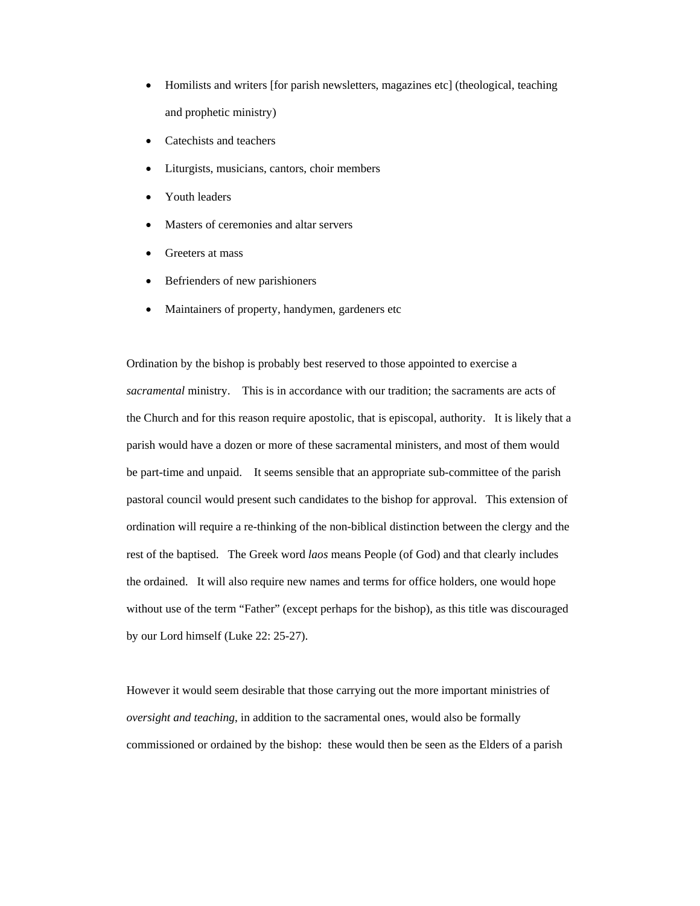- Homilists and writers [for parish newsletters, magazines etc] (theological, teaching and prophetic ministry)
- Catechists and teachers
- Liturgists, musicians, cantors, choir members
- Youth leaders
- Masters of ceremonies and altar servers
- Greeters at mass
- Befrienders of new parishioners
- Maintainers of property, handymen, gardeners etc

Ordination by the bishop is probably best reserved to those appointed to exercise a *sacramental* ministry. This is in accordance with our tradition; the sacraments are acts of the Church and for this reason require apostolic, that is episcopal, authority. It is likely that a parish would have a dozen or more of these sacramental ministers, and most of them would be part-time and unpaid. It seems sensible that an appropriate sub-committee of the parish pastoral council would present such candidates to the bishop for approval. This extension of ordination will require a re-thinking of the non-biblical distinction between the clergy and the rest of the baptised. The Greek word *laos* means People (of God) and that clearly includes the ordained. It will also require new names and terms for office holders, one would hope without use of the term "Father" (except perhaps for the bishop), as this title was discouraged by our Lord himself (Luke 22: 25-27).

However it would seem desirable that those carrying out the more important ministries of *oversight and teaching*, in addition to the sacramental ones, would also be formally commissioned or ordained by the bishop: these would then be seen as the Elders of a parish